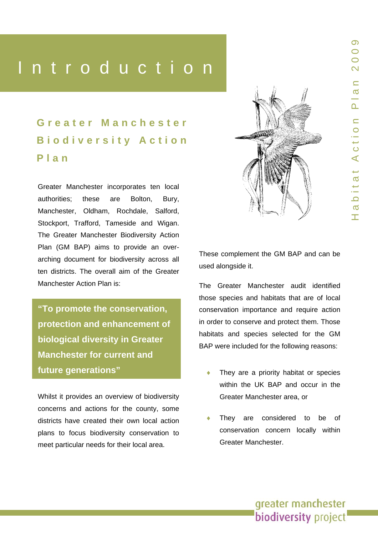# Introduction

Heading Control<br>Heading Control of the Control of the Control of the Control of the Control of the Control of the Control of t<br>Heading Control of the Control of the Control of the Control of the Control of the Control of t

*Add interesting fact*  **Greater Manchester Biodiversity Action Plan**

Greater Manchester incorporates ten local authorities; these are Bolton, Bury, Manchester, Oldham, Rochdale, Salford, Stockport, Trafford, Tameside and Wigan. The Greater Manchester Biodiversity Action Plan (GM BAP) aims to provide an overarching document for biodiversity across all ten districts. The overall aim of the Greater Manchester Action Plan is:

**"To promote the conservation, protection and enhancement of biological diversity in Greater Manchester for current and future generations"** 

Whilst it provides an overview of biodiversity concerns and actions for the county, some districts have created their own local action plans to focus biodiversity conservation to meet particular needs for their local area.



These complement the GM BAP and can be used alongside it.

The Greater Manchester audit identified those species and habitats that are of local conservation importance and require action in order to conserve and protect them. Those habitats and species selected for the GM BAP were included for the following reasons:

- They are a priority habitat or species within the UK BAP and occur in the Greater Manchester area, or
- They are considered to be of conservation concern locally within Greater Manchester.

greater manchester biodiversity project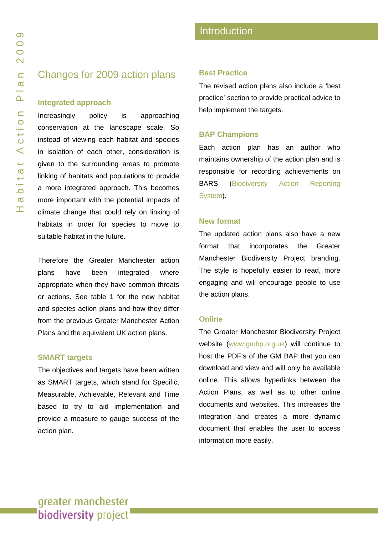### Changes for 2009 action plans

#### **Integrated approach**

Increasingly policy is approaching conservation at the landscape scale. So instead of viewing each habitat and species in isolation of each other, consideration is given to the surrounding areas to promote linking of habitats and populations to provide a more integrated approach. This becomes more important with the potential impacts of climate change that could rely on linking of habitats in order for species to move to suitable habitat in the future.

Therefore the Greater Manchester action plans have been integrated where appropriate when they have common threats or actions. See table 1 for the new habitat and species action plans and how they differ from the previous Greater Manchester Action Plans and the equivalent UK action plans.

#### **SMART targets**

The objectives and targets have been written as SMART targets, which stand for Specific, Measurable, Achievable, Relevant and Time based to try to aid implementation and provide a measure to gauge success of the action plan.

#### **Best Practice**

The revised action plans also include a 'best practice' section to provide practical advice to help implement the targets.

#### **BAP Champions**

Each action plan has an author who maintains ownership of the action plan and is responsible for recording achievements on BARS ([Biodiversity Action Reporting](http://www.ukbap-reporting.org.uk/) [System\)](http://www.ukbap-reporting.org.uk/).

#### **New format**

The updated action plans also have a new format that incorporates the Greater Manchester Biodiversity Project branding. The style is hopefully easier to read, more engaging and will encourage people to use the action plans.

#### **Online**

The Greater Manchester Biodiversity Project website [\(www.gmbp.org.uk](http://www.gmbp.org.uk/)) will continue to host the PDF's of the GM BAP that you can download and view and will only be available online. This allows hyperlinks between the Action Plans, as well as to other online documents and websites. This increases the integration and creates a more dynamic document that enables the user to access information more easily.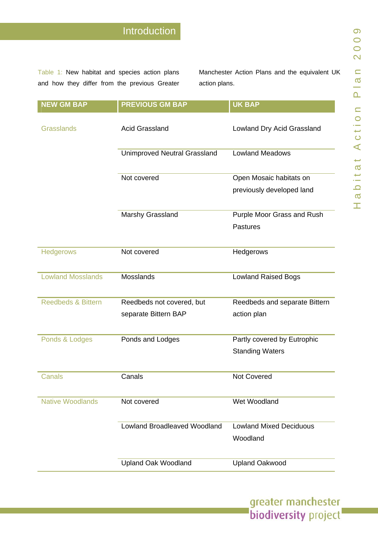Table 1: New habitat and species action plans and how they differ from the previous Greater

Manchester Action Plans and the e q u ivalent UK action plans.

greater manchester<br>biodiversity project

| <b>NEW GM BAP</b>             | <b>PREVIOUS GM BAP</b>              | <b>UK BAP</b>                              |
|-------------------------------|-------------------------------------|--------------------------------------------|
| <b>Grasslands</b>             | <b>Acid Grassland</b>               | Lowland Dry Acid Grassland                 |
|                               | <b>Unimproved Neutral Grassland</b> | <b>Lowland Meadows</b>                     |
|                               | Not covered                         | Open Mosaic habitats on                    |
|                               |                                     | previously developed land                  |
|                               | Marshy Grassland                    | Purple Moor Grass and Rush                 |
|                               |                                     | <b>Pastures</b>                            |
| <b>Hedgerows</b>              | Not covered                         | Hedgerows                                  |
| <b>Lowland Mosslands</b>      | Mosslands                           | <b>Lowland Raised Bogs</b>                 |
| <b>Reedbeds &amp; Bittern</b> | Reedbeds not covered, but           | Reedbeds and separate Bittern              |
|                               | separate Bittern BAP                | action plan                                |
| Ponds & Lodges                | Ponds and Lodges                    | Partly covered by Eutrophic                |
|                               |                                     | <b>Standing Waters</b>                     |
| <b>Canals</b>                 | Canals                              | Not Covered                                |
| <b>Native Woodlands</b>       | Not covered                         | Wet Woodland                               |
|                               | <b>Lowland Broadleaved Woodland</b> | <b>Lowland Mixed Deciduous</b><br>Woodland |
|                               |                                     |                                            |
|                               | <b>Upland Oak Woodland</b>          | <b>Upland Oakwood</b>                      |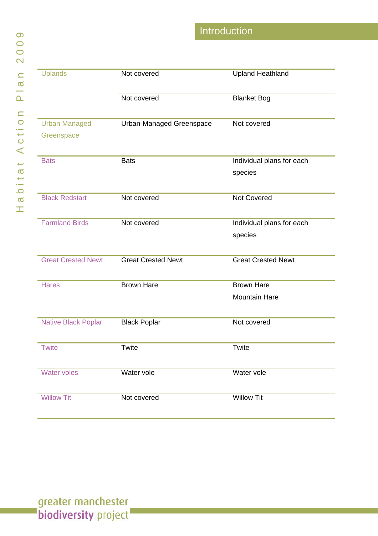| Introduction |
|--------------|
|              |

| <b>Uplands</b>             | Not covered               | <b>Upland Heathland</b>   |
|----------------------------|---------------------------|---------------------------|
|                            | Not covered               | <b>Blanket Bog</b>        |
| <b>Urban Managed</b>       | Urban-Managed Greenspace  | Not covered               |
| Greenspace                 |                           |                           |
| <b>Bats</b>                | <b>Bats</b>               | Individual plans for each |
|                            |                           | species                   |
| <b>Black Redstart</b>      | Not covered               | <b>Not Covered</b>        |
| <b>Farmland Birds</b>      | Not covered               | Individual plans for each |
|                            |                           | species                   |
| <b>Great Crested Newt</b>  | <b>Great Crested Newt</b> | <b>Great Crested Newt</b> |
| <b>Hares</b>               | <b>Brown Hare</b>         | <b>Brown Hare</b>         |
|                            |                           | <b>Mountain Hare</b>      |
| <b>Native Black Poplar</b> | <b>Black Poplar</b>       | Not covered               |
| <b>Twite</b>               | Twite                     | Twite                     |
| <b>Water voles</b>         | Water vole                | Water vole                |
| <b>Willow Tit</b>          | Not covered               | <b>Willow Tit</b>         |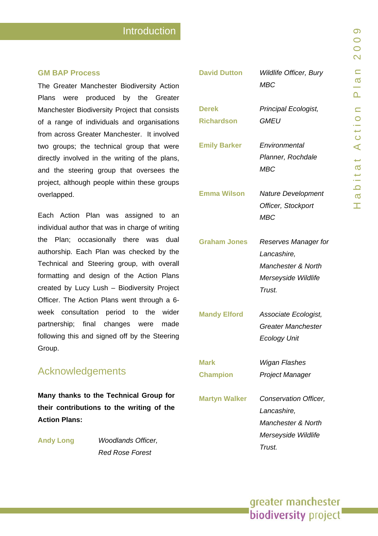# **Introduction**

#### **GM BAP Process**

The Greater Manchest er Biodiversity Action Plans were produce d by the Greater Manchester Biodiversity Project that consist s of a range of individuals and organisations from across Greater Manchester. It involved two groups; the technical group that were directly involved in the writing of the plans, and the steering group that oversees the project, although people within these groups overlapped.

Each Action Plan was assigned to an individual a uthor that was in charge of writing the Plan; occasionally there was dual authorship. Each Plan was checked by the Technical and Steering group, wit h overall formatting and design of the Act ion Plans created by Lucy Lush – Biodiversity Project Officer. The Action Plans went through a 6week consultation period to the wider partnership; final changes were made following this and signed off by the Steering Group.

## Acknowledgements

**Man y thanks to the Technical Group for their contributions to the w riting of the Action Plans:** 

**Andy Long** 

**y Long** *Woodlands Officer, Red Rose Forest* 

| <b>David Dutton</b>  | Wildlife Officer, Bury<br><b>MBC</b> |
|----------------------|--------------------------------------|
| <b>Derek</b>         | Principal Ecologist,                 |
| <b>Richardson</b>    | <i>GMEU</i>                          |
| <b>Emily Barker</b>  | Environmental                        |
|                      | Planner, Rochdale                    |
|                      | <b>MBC</b>                           |
| <b>Emma Wilson</b>   | <b>Nature Development</b>            |
|                      | Officer, Stockport                   |
|                      | <b>MBC</b>                           |
| <b>Graham Jones</b>  | Reserves Manager for                 |
|                      | Lancashire,                          |
|                      | <b>Manchester &amp; North</b>        |
|                      | Merseyside Wildlife                  |
|                      | Trust.                               |
| <b>Mandy Elford</b>  | Associate Ecologist,                 |
|                      | Greater Manchester                   |
|                      | <b>Ecology Unit</b>                  |
| Mark                 | Wigan Flashes                        |
| <b>Champion</b>      | Project Manager                      |
| <b>Martyn Walker</b> | Conservation Officer,                |
|                      | Lancashire,                          |
|                      | Manchester & North                   |
|                      | Merseyside Wildlife                  |
|                      | Trust.                               |

# greater manchester **biodiversity** project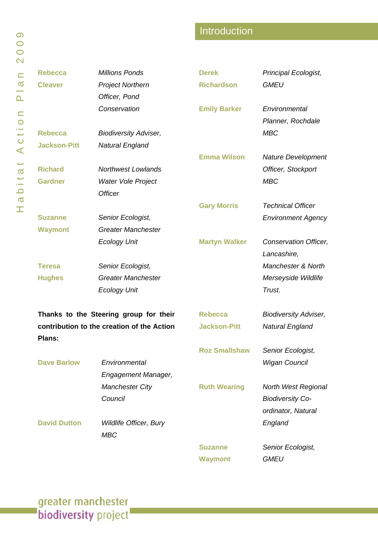# Introduction

| <b>Rebecca</b>                             | <b>Millions Ponds</b>         | <b>Derek</b>         | Principal Ecologist,         |
|--------------------------------------------|-------------------------------|----------------------|------------------------------|
| <b>Cleaver</b>                             | <b>Project Northern</b>       | <b>Richardson</b>    | <b>GMEU</b>                  |
|                                            | Officer, Pond                 |                      |                              |
|                                            | Conservation                  | <b>Emily Barker</b>  | Environmental                |
|                                            |                               |                      | Planner, Rochdale            |
| <b>Rebecca</b>                             | <b>Biodiversity Adviser,</b>  |                      | <b>MBC</b>                   |
| <b>Jackson-Pitt</b>                        | <b>Natural England</b>        |                      |                              |
|                                            |                               | <b>Emma Wilson</b>   | <b>Nature Development</b>    |
| <b>Richard</b>                             | <b>Northwest Lowlands</b>     |                      | Officer, Stockport           |
| <b>Gardner</b>                             | Water Vole Project            |                      | <b>MBC</b>                   |
|                                            | <b>Officer</b>                |                      |                              |
|                                            |                               | <b>Gary Morris</b>   | <b>Technical Officer</b>     |
| <b>Suzanne</b>                             | Senior Ecologist,             |                      | <b>Environment Agency</b>    |
| <b>Waymont</b>                             | <b>Greater Manchester</b>     |                      |                              |
|                                            | <b>Ecology Unit</b>           | <b>Martyn Walker</b> | Conservation Officer,        |
|                                            |                               |                      | Lancashire,                  |
| <b>Teresa</b>                              | Senior Ecologist,             |                      | Manchester & North           |
| <b>Hughes</b>                              | <b>Greater Manchester</b>     |                      | Merseyside Wildlife          |
|                                            | <b>Ecology Unit</b>           |                      | Trust.                       |
| Thanks to the Steering group for their     |                               | <b>Rebecca</b>       | <b>Biodiversity Adviser,</b> |
| contribution to the creation of the Action |                               | <b>Jackson-Pitt</b>  | <b>Natural England</b>       |
| Plans:                                     |                               |                      |                              |
|                                            |                               | <b>Roz Smallshaw</b> | Senior Ecologist,            |
| <b>Dave Barlow</b>                         | Environmental                 |                      | <b>Wigan Council</b>         |
|                                            | <b>Engagement Manager,</b>    |                      |                              |
|                                            | <b>Manchester City</b>        | <b>Ruth Wearing</b>  | North West Regional          |
|                                            | Council                       |                      | <b>Biodiversity Co-</b>      |
|                                            |                               |                      | ordinator, Natural           |
| <b>David Dutton</b>                        | <b>Wildlife Officer, Bury</b> |                      | England                      |
|                                            | <b>MBC</b>                    |                      |                              |
|                                            |                               | <b>Suzanne</b>       | Senior Ecologist,            |
|                                            |                               | <b>Waymont</b>       | <b>GMEU</b>                  |

greater manchester<br>biodiversity project